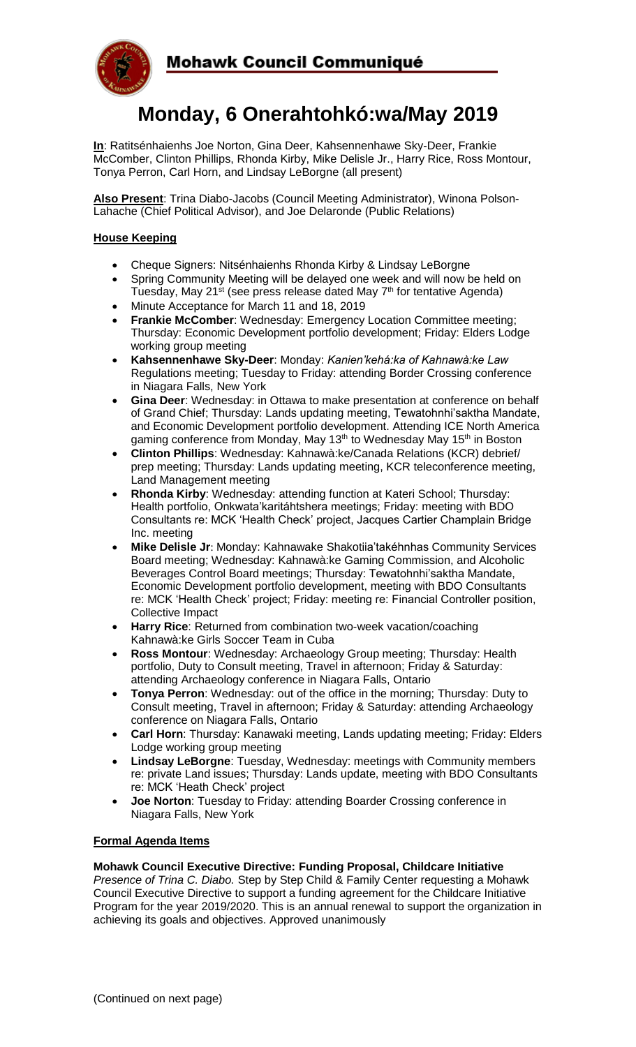

# **Monday, 6 Onerahtohkó:wa/May 2019**

**In**: Ratitsénhaienhs Joe Norton, Gina Deer, Kahsennenhawe Sky-Deer, Frankie McComber, Clinton Phillips, Rhonda Kirby, Mike Delisle Jr., Harry Rice, Ross Montour, Tonya Perron, Carl Horn, and Lindsay LeBorgne (all present)

**Also Present**: Trina Diabo-Jacobs (Council Meeting Administrator), Winona Polson-Lahache (Chief Political Advisor), and Joe Delaronde (Public Relations)

## **House Keeping**

- Cheque Signers: Nitsénhaienhs Rhonda Kirby & Lindsay LeBorgne
- Spring Community Meeting will be delayed one week and will now be held on Tuesday, May 21<sup>st</sup> (see press release dated May 7<sup>th</sup> for tentative Agenda)
- Minute Acceptance for March 11 and 18, 2019
- **Frankie McComber**: Wednesday: Emergency Location Committee meeting; Thursday: Economic Development portfolio development; Friday: Elders Lodge working group meeting
- **Kahsennenhawe Sky-Deer**: Monday: *Kanien'kehá:ka of Kahnawà:ke Law* Regulations meeting; Tuesday to Friday: attending Border Crossing conference in Niagara Falls, New York
- **Gina Deer**: Wednesday: in Ottawa to make presentation at conference on behalf of Grand Chief; Thursday: Lands updating meeting, Tewatohnhi'saktha Mandate, and Economic Development portfolio development. Attending ICE North America gaming conference from Monday, May 13<sup>th</sup> to Wednesday May 15<sup>th</sup> in Boston
- **Clinton Phillips**: Wednesday: Kahnawà:ke/Canada Relations (KCR) debrief/ prep meeting; Thursday: Lands updating meeting, KCR teleconference meeting, Land Management meeting
- **Rhonda Kirby**: Wednesday: attending function at Kateri School; Thursday: Health portfolio, Onkwata'karitáhtshera meetings; Friday: meeting with BDO Consultants re: MCK 'Health Check' project, Jacques Cartier Champlain Bridge Inc. meeting
- **Mike Delisle Jr**: Monday: Kahnawake Shakotiia'takéhnhas Community Services Board meeting; Wednesday: Kahnawà:ke Gaming Commission, and Alcoholic Beverages Control Board meetings; Thursday: Tewatohnhi'saktha Mandate, Economic Development portfolio development, meeting with BDO Consultants re: MCK 'Health Check' project; Friday: meeting re: Financial Controller position, Collective Impact
- **Harry Rice**: Returned from combination two-week vacation/coaching Kahnawà:ke Girls Soccer Team in Cuba
- **Ross Montour**: Wednesday: Archaeology Group meeting; Thursday: Health portfolio, Duty to Consult meeting, Travel in afternoon; Friday & Saturday: attending Archaeology conference in Niagara Falls, Ontario
- **Tonya Perron**: Wednesday: out of the office in the morning; Thursday: Duty to Consult meeting, Travel in afternoon; Friday & Saturday: attending Archaeology conference on Niagara Falls, Ontario
- **Carl Horn**: Thursday: Kanawaki meeting, Lands updating meeting; Friday: Elders Lodge working group meeting
- **Lindsay LeBorgne**: Tuesday, Wednesday: meetings with Community members re: private Land issues; Thursday: Lands update, meeting with BDO Consultants re: MCK 'Heath Check' project
- **Joe Norton**: Tuesday to Friday: attending Boarder Crossing conference in Niagara Falls, New York

## **Formal Agenda Items**

## **Mohawk Council Executive Directive: Funding Proposal, Childcare Initiative**

*Presence of Trina C. Diabo.* Step by Step Child & Family Center requesting a Mohawk Council Executive Directive to support a funding agreement for the Childcare Initiative Program for the year 2019/2020. This is an annual renewal to support the organization in achieving its goals and objectives. Approved unanimously